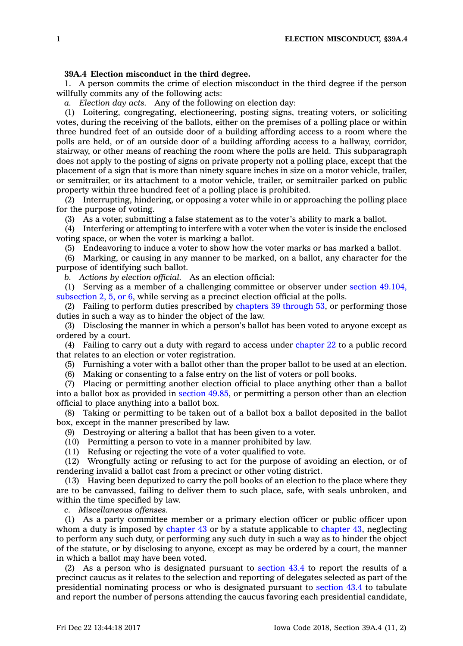## **39A.4 Election misconduct in the third degree.**

1. A person commits the crime of election misconduct in the third degree if the person willfully commits any of the following acts:

*a. Election day acts.* Any of the following on election day:

(1) Loitering, congregating, electioneering, posting signs, treating voters, or soliciting votes, during the receiving of the ballots, either on the premises of <sup>a</sup> polling place or within three hundred feet of an outside door of <sup>a</sup> building affording access to <sup>a</sup> room where the polls are held, or of an outside door of <sup>a</sup> building affording access to <sup>a</sup> hallway, corridor, stairway, or other means of reaching the room where the polls are held. This subparagraph does not apply to the posting of signs on private property not <sup>a</sup> polling place, except that the placement of <sup>a</sup> sign that is more than ninety square inches in size on <sup>a</sup> motor vehicle, trailer, or semitrailer, or its attachment to <sup>a</sup> motor vehicle, trailer, or semitrailer parked on public property within three hundred feet of <sup>a</sup> polling place is prohibited.

(2) Interrupting, hindering, or opposing <sup>a</sup> voter while in or approaching the polling place for the purpose of voting.

(3) As <sup>a</sup> voter, submitting <sup>a</sup> false statement as to the voter's ability to mark <sup>a</sup> ballot.

(4) Interfering or attempting to interfere with <sup>a</sup> voter when the voter is inside the enclosed voting space, or when the voter is marking <sup>a</sup> ballot.

(5) Endeavoring to induce <sup>a</sup> voter to show how the voter marks or has marked <sup>a</sup> ballot.

(6) Marking, or causing in any manner to be marked, on <sup>a</sup> ballot, any character for the purpose of identifying such ballot.

*b. Actions by election official.* As an election official:

(1) Serving as <sup>a</sup> member of <sup>a</sup> challenging committee or observer under section [49.104,](https://www.legis.iowa.gov/docs/code/49.104.pdf) [subsection](https://www.legis.iowa.gov/docs/code/49.104.pdf) 2, 5, or 6, while serving as <sup>a</sup> precinct election official at the polls.

(2) Failing to perform duties prescribed by [chapters](https://www.legis.iowa.gov/docs/code/39.pdf) 39 through 53, or performing those duties in such <sup>a</sup> way as to hinder the object of the law.

(3) Disclosing the manner in which <sup>a</sup> person's ballot has been voted to anyone except as ordered by <sup>a</sup> court.

(4) Failing to carry out <sup>a</sup> duty with regard to access under [chapter](https://www.legis.iowa.gov/docs/code//22.pdf) 22 to <sup>a</sup> public record that relates to an election or voter registration.

(5) Furnishing <sup>a</sup> voter with <sup>a</sup> ballot other than the proper ballot to be used at an election.

(6) Making or consenting to <sup>a</sup> false entry on the list of voters or poll books.

(7) Placing or permitting another election official to place anything other than <sup>a</sup> ballot into <sup>a</sup> ballot box as provided in [section](https://www.legis.iowa.gov/docs/code/49.85.pdf) 49.85, or permitting <sup>a</sup> person other than an election official to place anything into <sup>a</sup> ballot box.

(8) Taking or permitting to be taken out of <sup>a</sup> ballot box <sup>a</sup> ballot deposited in the ballot box, except in the manner prescribed by law.

(9) Destroying or altering <sup>a</sup> ballot that has been given to <sup>a</sup> voter.

(10) Permitting <sup>a</sup> person to vote in <sup>a</sup> manner prohibited by law.

(11) Refusing or rejecting the vote of <sup>a</sup> voter qualified to vote.

(12) Wrongfully acting or refusing to act for the purpose of avoiding an election, or of rendering invalid <sup>a</sup> ballot cast from <sup>a</sup> precinct or other voting district.

(13) Having been deputized to carry the poll books of an election to the place where they are to be canvassed, failing to deliver them to such place, safe, with seals unbroken, and within the time specified by law.

*c. Miscellaneous offenses.*

(1) As <sup>a</sup> party committee member or <sup>a</sup> primary election officer or public officer upon whom a duty is imposed by [chapter](https://www.legis.iowa.gov/docs/code//43.pdf) 43 or by a statute applicable to chapter 43, neglecting to perform any such duty, or performing any such duty in such <sup>a</sup> way as to hinder the object of the statute, or by disclosing to anyone, except as may be ordered by <sup>a</sup> court, the manner in which <sup>a</sup> ballot may have been voted.

(2) As <sup>a</sup> person who is designated pursuant to [section](https://www.legis.iowa.gov/docs/code/43.4.pdf) 43.4 to report the results of <sup>a</sup> precinct caucus as it relates to the selection and reporting of delegates selected as part of the presidential nominating process or who is designated pursuant to [section](https://www.legis.iowa.gov/docs/code/43.4.pdf) 43.4 to tabulate and report the number of persons attending the caucus favoring each presidential candidate,